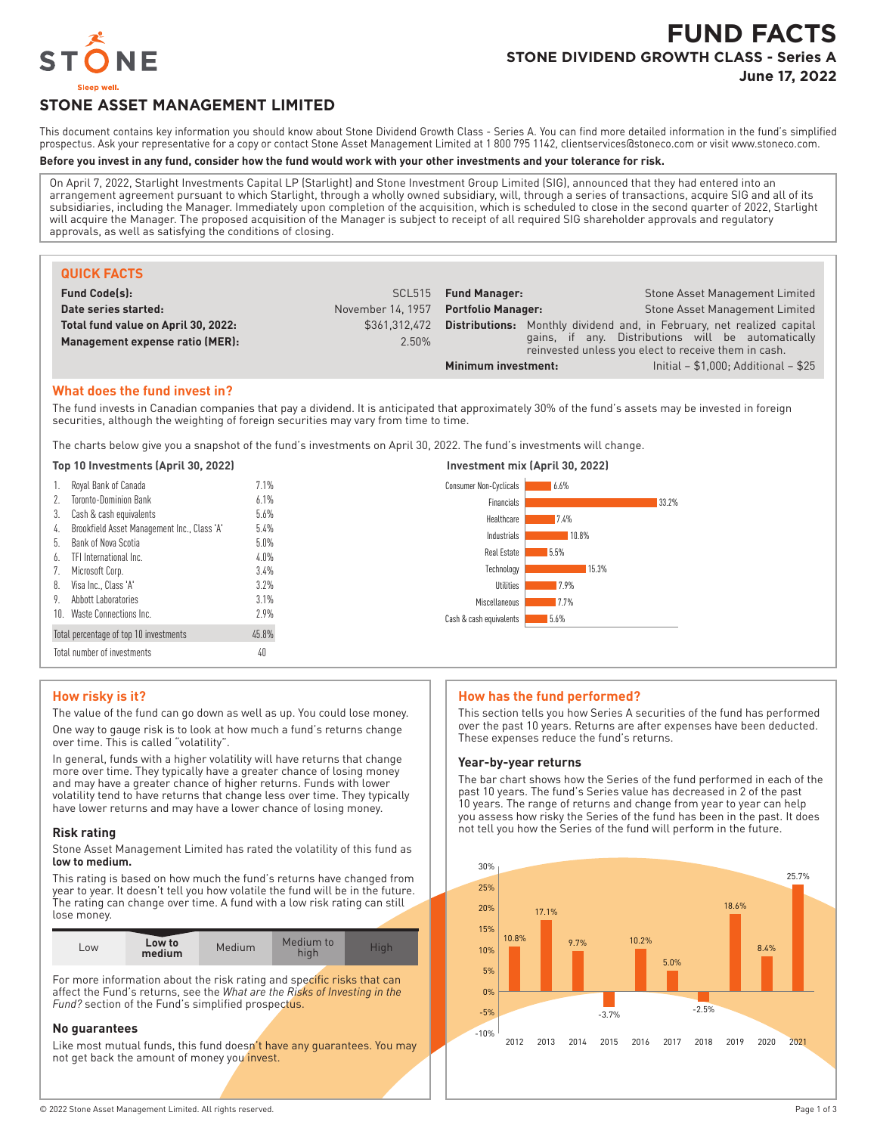

# **FUND FACTS STONE DIVIDEND GROWTH CLASS - Series A June 17, 2022**

# **STONE ASSET MANAGEMENT LIMITED**

This document contains key information you should know about Stone Dividend Growth Class - Series A. You can find more detailed information in the fund's simplified prospectus. Ask your representative for a copy or contact Stone Asset Management Limited at 1 800 795 1142, clientservices@stoneco.com or visit www.stoneco.com.

#### **Before you invest in any fund, consider how the fund would work with your other investments and your tolerance for risk.**

On April 7, 2022, Starlight Investments Capital LP (Starlight) and Stone Investment Group Limited (SIG), announced that they had entered into an arrangement agreement pursuant to which Starlight, through a wholly owned subsidiary, will, through a series of transactions, acquire SIG and all of its subsidiaries, including the Manager. Immediately upon completion of the acquisition, which is scheduled to close in the second quarter of 2022, Starlight will acquire the Manager. The proposed acquisition of the Manager is subject to receipt of all required SIG shareholder approvals and regulatory approvals, as well as satisfying the conditions of closing.

| <b>QUICK FACTS</b>                  |                   |                           |                                                                                                            |
|-------------------------------------|-------------------|---------------------------|------------------------------------------------------------------------------------------------------------|
| <b>Fund Code(s):</b>                |                   | SCL515 Fund Manager:      | Stone Asset Management Limited                                                                             |
| Date series started:                | November 14, 1957 | <b>Portfolio Manager:</b> | <b>Stone Asset Management Limited</b>                                                                      |
| Total fund value on April 30, 2022: | \$361.312.472     |                           | <b>Distributions:</b> Monthly dividend and, in February, net realized capital                              |
| Management expense ratio (MER):     | 2.50%             |                           | gains, if any. Distributions will be automatically<br>reinvested unless you elect to receive them in cash. |
|                                     |                   | Minimum investment:       | Initial $- $1,000$ ; Additional $- $25$                                                                    |

#### **What does the fund invest in?**

The fund invests in Canadian companies that pay a dividend. It is anticipated that approximately 30% of the fund's assets may be invested in foreign securities, although the weighting of foreign securities may vary from time to time.

The charts below give you a snapshot of the fund's investments on April 30, 2022. The fund's investments will change.

#### **Top 10 Investments (April 30, 2022) Investment mix (April 30, 2022)**

| Royal Bank of Canada<br><b>Toronto-Dominion Bank</b> | 7.1%         | Consumer Non-Cyclicals<br>6.6%  |
|------------------------------------------------------|--------------|---------------------------------|
| 2.<br>Cash & cash equivalents<br>3.                  | 6.1%<br>5.6% | Financials<br>33.2%             |
| Brookfield Asset Management Inc., Class 'A'<br>4.    | 5.4%         | Healthcare<br>7.4%              |
| Bank of Nova Scotia<br>ხ.                            | $5.0\%$      | Industrials<br>10.8%            |
| TFI International Inc.<br>6.                         | $4.0\%$      | Real Estate<br>5.5%             |
| Microsoft Corp.<br>7.                                | $3.4\%$      | Technology<br>15.3%             |
| Visa Inc., Class 'A'<br>8.<br>Abbott Laboratories    | $3.2\%$      | Utilities<br>7.9%               |
| 9.<br>10. Waste Connections Inc.                     | 3.1%<br>2.9% | Miscellaneous<br>7.7%           |
|                                                      |              | Cash & cash equivalents<br>5.6% |
| Total percentage of top 10 investments               | 45.8%        |                                 |
| Total number of investments                          | 40           |                                 |

## **How risky is it?**

The value of the fund can go down as well as up. You could lose money. One way to gauge risk is to look at how much a fund's returns change over time. This is called "volatility".

In general, funds with a higher volatility will have returns that change more over time. They typically have a greater chance of losing money and may have a greater chance of higher returns. Funds with lower volatility tend to have returns that change less over time. They typically have lower returns and may have a lower chance of losing money.

#### **Risk rating**

Stone Asset Management Limited has rated the volatility of this fund as **low to medium.**

This rating is based on how much the fund's returns have changed from year to year. It doesn't tell you how volatile the fund will be in the future. The rating can change over time. A fund with a low risk rating can still lose money.

| LOW | Low to<br>medium | Medium | Medium to<br>hıqh | High. |
|-----|------------------|--------|-------------------|-------|

For more information about the risk rating and specific risks that can affect the Fund's returns, see the *What are the Risks of Investing in the Fund?* section of the Fund's simplified prospectus.

### **No guarantees**

Like most mutual funds, this fund doesn't have any guarantees. You may not get back the amount of money you invest.

#### **How has the fund performed?**

This section tells you how Series A securities of the fund has performed over the past 10 years. Returns are after expenses have been deducted. These expenses reduce the fund's returns.

#### **Year-by-year returns**

The bar chart shows how the Series of the fund performed in each of the past 10 years. The fund's Series value has decreased in 2 of the past 10 years. The range of returns and change from year to year can help you assess how risky the Series of the fund has been in the past. It does not tell you how the Series of the fund will perform in the future.

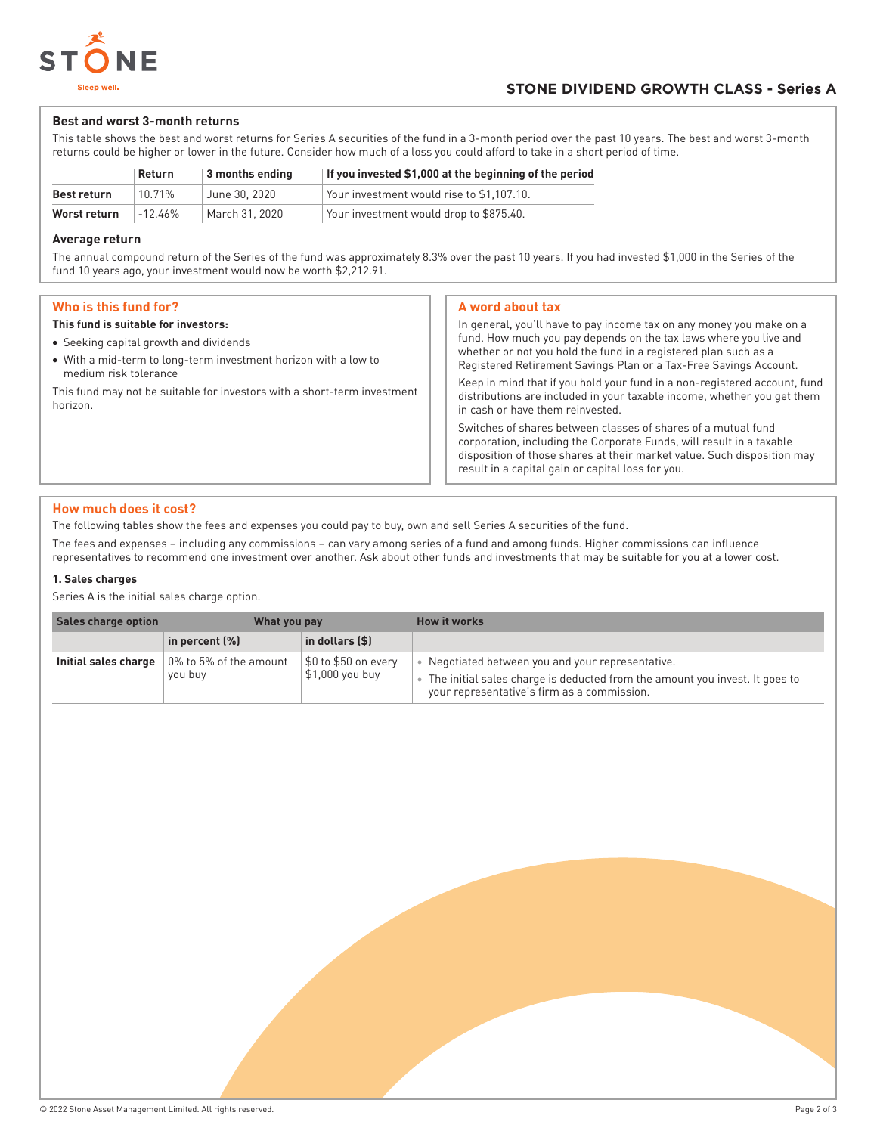

# **Best and worst 3-month returns**

This table shows the best and worst returns for Series A securities of the fund in a 3-month period over the past 10 years. The best and worst 3-month returns could be higher or lower in the future. Consider how much of a loss you could afford to take in a short period of time.

|              | Return    | 3 months ending | If you invested \$1,000 at the beginning of the period |
|--------------|-----------|-----------------|--------------------------------------------------------|
| Best return  | 10.71%    | June 30, 2020   | Your investment would rise to \$1,107.10.              |
| Worst return | $-12.46%$ | March 31, 2020  | Your investment would drop to \$875.40.                |

## **Average return**

The annual compound return of the Series of the fund was approximately 8.3% over the past 10 years. If you had invested \$1,000 in the Series of the fund 10 years ago, your investment would now be worth \$2,212.91.

# **Who is this fund for?**

## **This fund is suitable for investors:**

- Seeking capital growth and dividends
- With a mid-term to long-term investment horizon with a low to medium risk tolerance

This fund may not be suitable for investors with a short-term investment horizon.

## **A word about tax**

In general, you'll have to pay income tax on any money you make on a fund. How much you pay depends on the tax laws where you live and whether or not you hold the fund in a registered plan such as a Registered Retirement Savings Plan or a Tax-Free Savings Account. Keep in mind that if you hold your fund in a non-registered account, fund distributions are included in your taxable income, whether you get them in cash or have them reinvested. Switches of shares between classes of shares of a mutual fund corporation, including the Corporate Funds, will result in a taxable disposition of those shares at their market value. Such disposition may

result in a capital gain or capital loss for you.

# **How much does it cost?**

The following tables show the fees and expenses you could pay to buy, own and sell Series A securities of the fund.

The fees and expenses – including any commissions – can vary among series of a fund and among funds. Higher commissions can influence representatives to recommend one investment over another. Ask about other funds and investments that may be suitable for you at a lower cost.

# **1. Sales charges**

Series A is the initial sales charge option.

| <b>Sales charge option</b> | What you pay                                                       |                                         | How it works                                                                                                                                                                  |
|----------------------------|--------------------------------------------------------------------|-----------------------------------------|-------------------------------------------------------------------------------------------------------------------------------------------------------------------------------|
|                            | in percent (%)                                                     | in dollars (\$)                         |                                                                                                                                                                               |
|                            | <b>Initial sales charge</b> $\,$ 0% to 5% of the amount<br>you buy | \$0 to \$50 on every<br>\$1,000 you buy | Negotiated between you and your representative.<br>The initial sales charge is deducted from the amount you invest. It goes to<br>your representative's firm as a commission. |